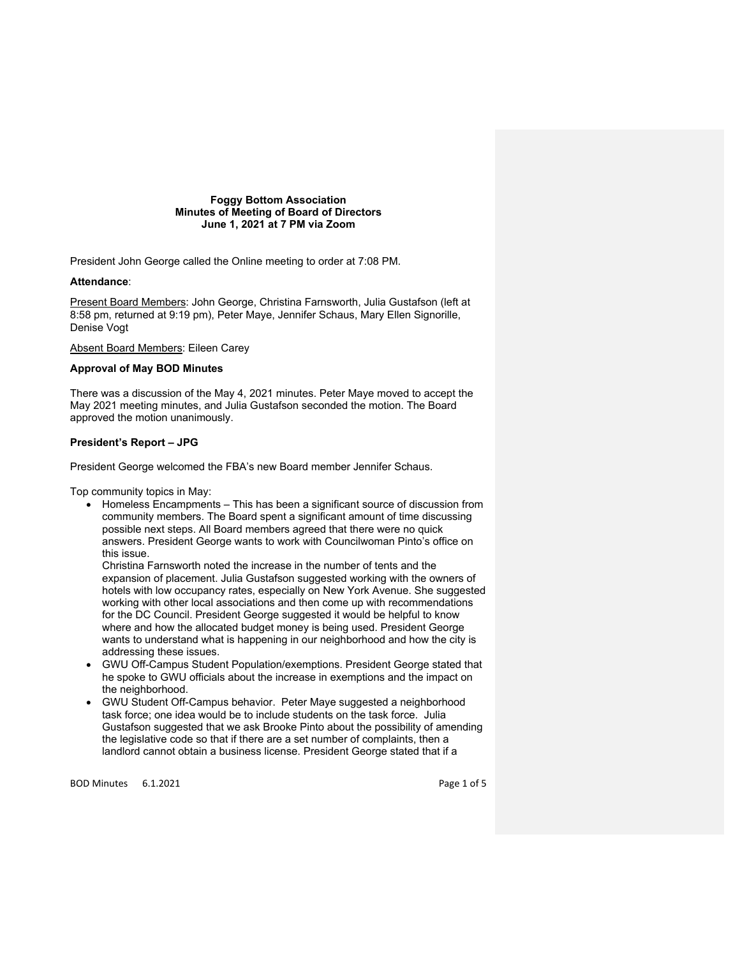**Foggy Bottom Association Minutes of Meeting of Board of Directors June 1, 2021 at 7 PM via Zoom**

President John George called the Online meeting to order at 7:08 PM.

### **Attendance**:

Present Board Members: John George, Christina Farnsworth, Julia Gustafson (left at 8:58 pm, returned at 9:19 pm), Peter Maye, Jennifer Schaus, Mary Ellen Signorille, Denise Vogt

Absent Board Members: Eileen Carey

### **Approval of May BOD Minutes**

There was a discussion of the May 4, 2021 minutes. Peter Maye moved to accept the May 2021 meeting minutes, and Julia Gustafson seconded the motion. The Board approved the motion unanimously.

### **President's Report – JPG**

President George welcomed the FBA's new Board member Jennifer Schaus.

Top community topics in May:

• Homeless Encampments – This has been a significant source of discussion from community members. The Board spent a significant amount of time discussing possible next steps. All Board members agreed that there were no quick answers. President George wants to work with Councilwoman Pinto's office on this issue.

Christina Farnsworth noted the increase in the number of tents and the expansion of placement. Julia Gustafson suggested working with the owners of hotels with low occupancy rates, especially on New York Avenue. She suggested working with other local associations and then come up with recommendations for the DC Council. President George suggested it would be helpful to know where and how the allocated budget money is being used. President George wants to understand what is happening in our neighborhood and how the city is addressing these issues.

- GWU Off-Campus Student Population/exemptions. President George stated that he spoke to GWU officials about the increase in exemptions and the impact on the neighborhood.
- GWU Student Off-Campus behavior. Peter Maye suggested a neighborhood task force; one idea would be to include students on the task force. Julia Gustafson suggested that we ask Brooke Pinto about the possibility of amending the legislative code so that if there are a set number of complaints, then a landlord cannot obtain a business license. President George stated that if a

BOD Minutes 6.1.2021 **Page 1 of 5**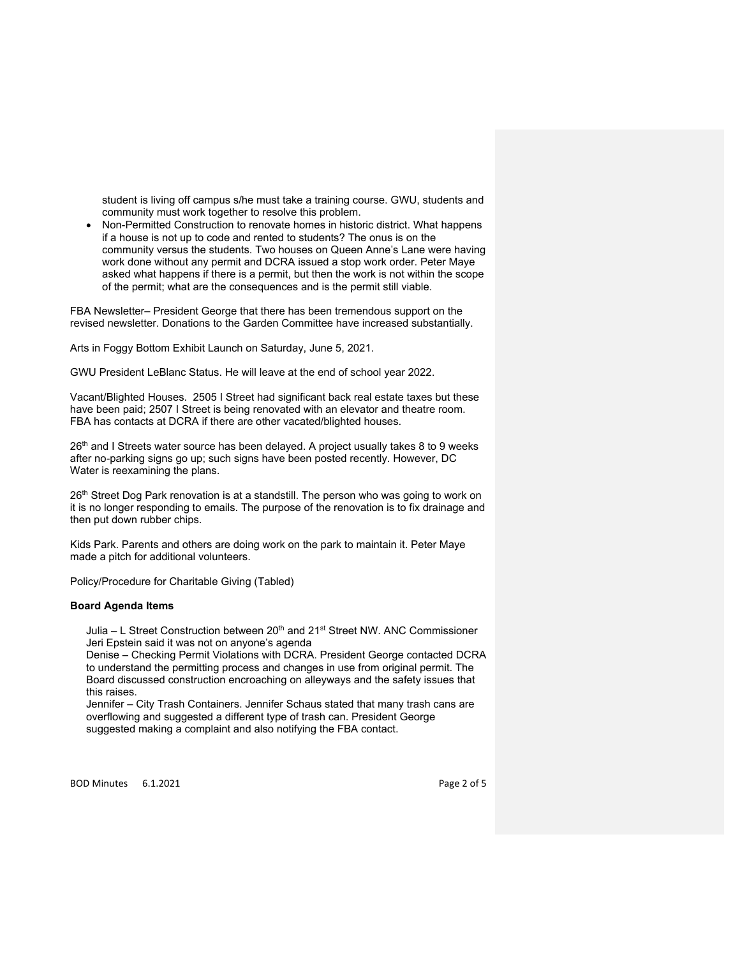student is living off campus s/he must take a training course. GWU, students and community must work together to resolve this problem.

• Non-Permitted Construction to renovate homes in historic district. What happens if a house is not up to code and rented to students? The onus is on the community versus the students. Two houses on Queen Anne's Lane were having work done without any permit and DCRA issued a stop work order. Peter Maye asked what happens if there is a permit, but then the work is not within the scope of the permit; what are the consequences and is the permit still viable.

FBA Newsletter– President George that there has been tremendous support on the revised newsletter. Donations to the Garden Committee have increased substantially.

Arts in Foggy Bottom Exhibit Launch on Saturday, June 5, 2021.

GWU President LeBlanc Status. He will leave at the end of school year 2022.

Vacant/Blighted Houses. 2505 I Street had significant back real estate taxes but these have been paid; 2507 I Street is being renovated with an elevator and theatre room. FBA has contacts at DCRA if there are other vacated/blighted houses.

26<sup>th</sup> and I Streets water source has been delayed. A project usually takes 8 to 9 weeks after no-parking signs go up; such signs have been posted recently. However, DC Water is reexamining the plans.

26<sup>th</sup> Street Dog Park renovation is at a standstill. The person who was going to work on it is no longer responding to emails. The purpose of the renovation is to fix drainage and then put down rubber chips.

Kids Park. Parents and others are doing work on the park to maintain it. Peter Maye made a pitch for additional volunteers.

Policy/Procedure for Charitable Giving (Tabled)

### **Board Agenda Items**

Julia – L Street Construction between 20<sup>th</sup> and 21<sup>st</sup> Street NW. ANC Commissioner Jeri Epstein said it was not on anyone's agenda

Denise – Checking Permit Violations with DCRA. President George contacted DCRA to understand the permitting process and changes in use from original permit. The Board discussed construction encroaching on alleyways and the safety issues that this raises.

Jennifer – City Trash Containers. Jennifer Schaus stated that many trash cans are overflowing and suggested a different type of trash can. President George suggested making a complaint and also notifying the FBA contact.

BOD Minutes 6.1.2021 **Page 2 of 5**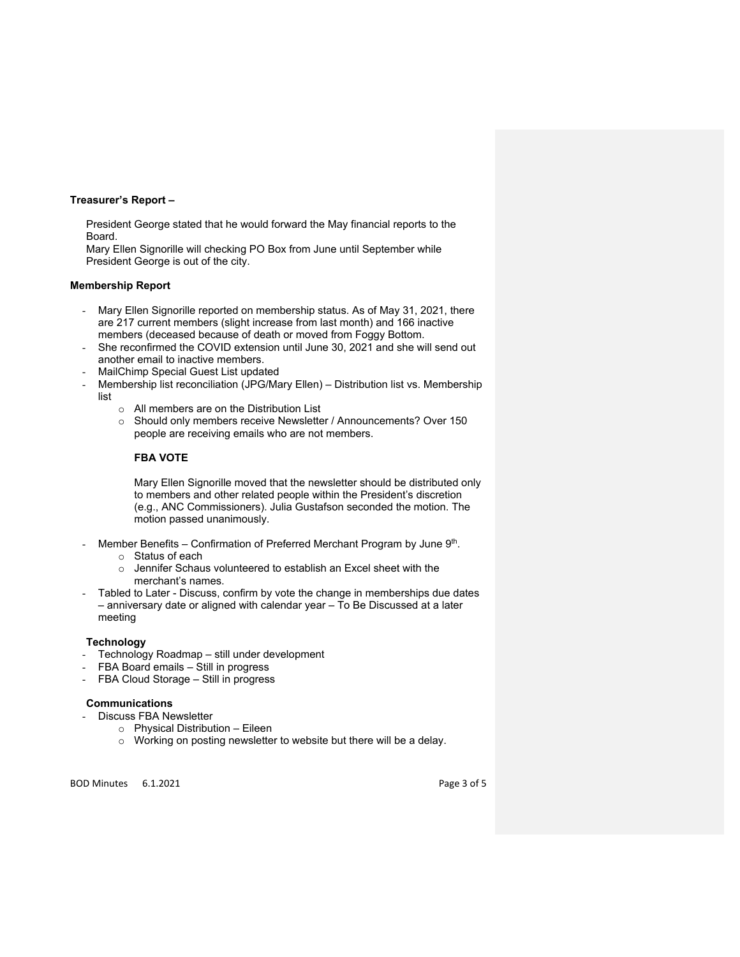### **Treasurer's Report –**

President George stated that he would forward the May financial reports to the Board.

Mary Ellen Signorille will checking PO Box from June until September while President George is out of the city.

### **Membership Report**

- Mary Ellen Signorille reported on membership status. As of May 31, 2021, there are 217 current members (slight increase from last month) and 166 inactive members (deceased because of death or moved from Foggy Bottom.
- She reconfirmed the COVID extension until June 30, 2021 and she will send out another email to inactive members.
- MailChimp Special Guest List updated
- Membership list reconciliation (JPG/Mary Ellen) Distribution list vs. Membership list
	- o All members are on the Distribution List
	- o Should only members receive Newsletter / Announcements? Over 150 people are receiving emails who are not members.

# **FBA VOTE**

Mary Ellen Signorille moved that the newsletter should be distributed only to members and other related people within the President's discretion (e.g., ANC Commissioners). Julia Gustafson seconded the motion. The motion passed unanimously.

- Member Benefits Confirmation of Preferred Merchant Program by June  $9<sup>th</sup>$ .
	- o Status of each
	- $\circ$  Jennifer Schaus volunteered to establish an Excel sheet with the merchant's names.
- Tabled to Later Discuss, confirm by vote the change in memberships due dates – anniversary date or aligned with calendar year – To Be Discussed at a later meeting

### **Technology**

- Technology Roadmap still under development
- FBA Board emails Still in progress
- FBA Cloud Storage Still in progress

### **Communications**

- Discuss FBA Newsletter
	- o Physical Distribution Eileen
	- o Working on posting newsletter to website but there will be a delay.

BOD Minutes 6.1.2021 **Page 3 of 5**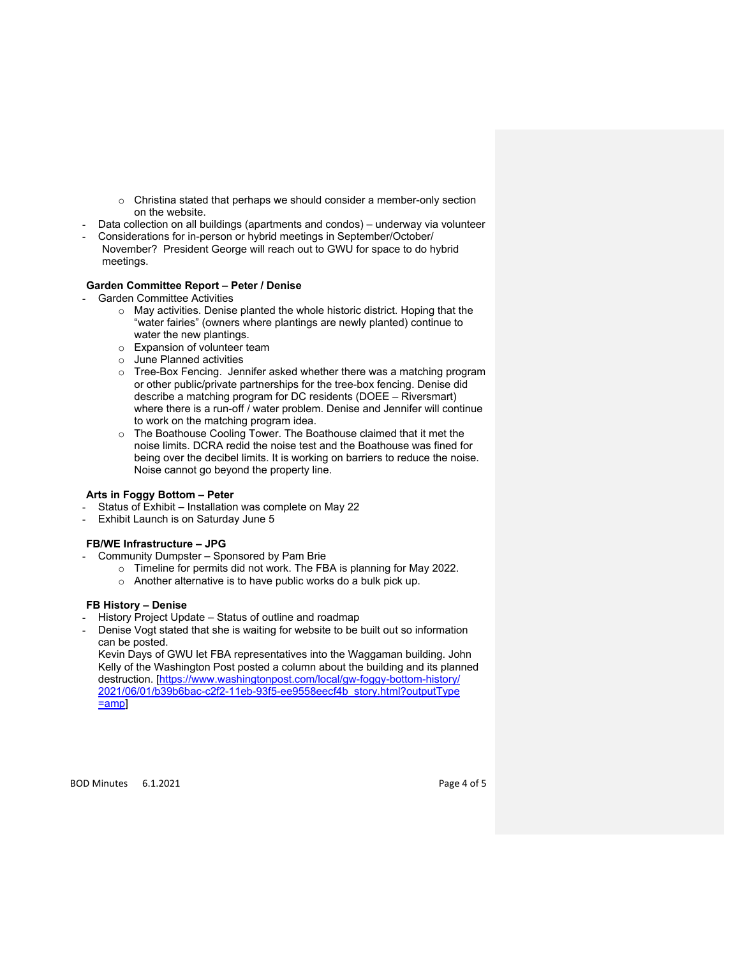- o Christina stated that perhaps we should consider a member-only section on the website.
- Data collection on all buildings (apartments and condos) underway via volunteer
- Considerations for in-person or hybrid meetings in September/October/ November? President George will reach out to GWU for space to do hybrid meetings.

# **Garden Committee Report – Peter / Denise**

- Garden Committee Activities
	- o May activities. Denise planted the whole historic district. Hoping that the "water fairies" (owners where plantings are newly planted) continue to water the new plantings.
	- o Expansion of volunteer team
	- o June Planned activities
	- o Tree-Box Fencing. Jennifer asked whether there was a matching program or other public/private partnerships for the tree-box fencing. Denise did describe a matching program for DC residents (DOEE – Riversmart) where there is a run-off / water problem. Denise and Jennifer will continue to work on the matching program idea.
	- o The Boathouse Cooling Tower. The Boathouse claimed that it met the noise limits. DCRA redid the noise test and the Boathouse was fined for being over the decibel limits. It is working on barriers to reduce the noise. Noise cannot go beyond the property line.

# **Arts in Foggy Bottom – Peter**

- Status of Exhibit Installation was complete on May 22
- Exhibit Launch is on Saturday June 5

## **FB/WE Infrastructure – JPG**

- Community Dumpster Sponsored by Pam Brie
	- o Timeline for permits did not work. The FBA is planning for May 2022.
	- o Another alternative is to have public works do a bulk pick up.

## **FB History – Denise**

- History Project Update Status of outline and roadmap
- Denise Vogt stated that she is waiting for website to be built out so information can be posted.

Kevin Days of GWU let FBA representatives into the Waggaman building. John Kelly of the Washington Post posted a column about the building and its planned destruction. [https://www.washingtonpost.com/local/gw-foggy-bottom-history/ 2021/06/01/b39b6bac-c2f2-11eb-93f5-ee9558eecf4b\_story.html?outputType =amp]

BOD Minutes 6.1.2021 **Page 4 of 5**